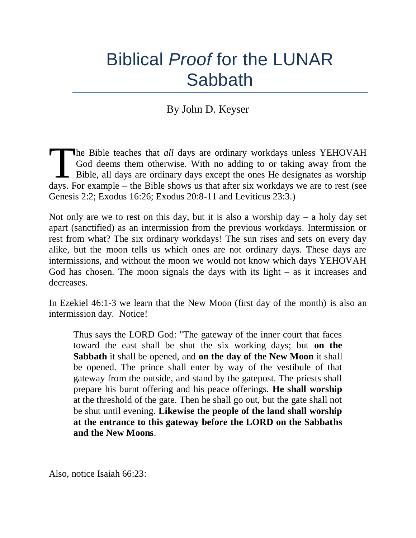# Biblical *Proof* for the LUNAR **Sabbath**

## By John D. Keyser

he Bible teaches that *all* days are ordinary workdays unless YEHOVAH God deems them otherwise. With no adding to or taking away from the  $\Box$  Bible, all days are ordinary days except the ones He designates as worship The Bible teaches that *all* days are ordinary workdays unless YEHOVAH God deems them otherwise. With no adding to or taking away from the Bible, all days are ordinary days except the ones He designates as worship days. Fo Genesis 2:2; Exodus 16:26; Exodus 20:8-11 and Leviticus 23:3.)

Not only are we to rest on this day, but it is also a worship day – a holy day set apart (sanctified) as an intermission from the previous workdays. Intermission or rest from what? The six ordinary workdays! The sun rises and sets on every day alike, but the moon tells us which ones are not ordinary days. These days are intermissions, and without the moon we would not know which days YEHOVAH God has chosen. The moon signals the days with its light  $-$  as it increases and decreases.

In Ezekiel 46:1-3 we learn that the New Moon (first day of the month) is also an intermission day. Notice!

Thus says the LORD God: "The gateway of the inner court that faces toward the east shall be shut the six working days; but **on the Sabbath** it shall be opened, and **on the day of the New Moon** it shall be opened. The prince shall enter by way of the vestibule of that gateway from the outside, and stand by the gatepost. The priests shall prepare his burnt offering and his peace offerings. **He shall worship** at the threshold of the gate. Then he shall go out, but the gate shall not be shut until evening. **Likewise the people of the land shall worship at the entrance to this gateway before the LORD on the Sabbaths and the New Moons**.

Also, notice Isaiah 66:23: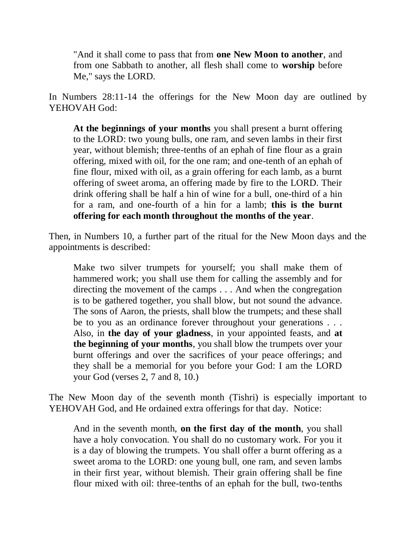"And it shall come to pass that from **one New Moon to another**, and from one Sabbath to another, all flesh shall come to **worship** before Me," says the LORD.

In Numbers 28:11-14 the offerings for the New Moon day are outlined by YEHOVAH God:

**At the beginnings of your months** you shall present a burnt offering to the LORD: two young bulls, one ram, and seven lambs in their first year, without blemish; three-tenths of an ephah of fine flour as a grain offering, mixed with oil, for the one ram; and one-tenth of an ephah of fine flour, mixed with oil, as a grain offering for each lamb, as a burnt offering of sweet aroma, an offering made by fire to the LORD. Their drink offering shall be half a hin of wine for a bull, one-third of a hin for a ram, and one-fourth of a hin for a lamb; **this is the burnt offering for each month throughout the months of the year**.

Then, in Numbers 10, a further part of the ritual for the New Moon days and the appointments is described:

Make two silver trumpets for yourself; you shall make them of hammered work; you shall use them for calling the assembly and for directing the movement of the camps . . . And when the congregation is to be gathered together, you shall blow, but not sound the advance. The sons of Aaron, the priests, shall blow the trumpets; and these shall be to you as an ordinance forever throughout your generations . . . Also, in **the day of your gladness**, in your appointed feasts, and **at the beginning of your months**, you shall blow the trumpets over your burnt offerings and over the sacrifices of your peace offerings; and they shall be a memorial for you before your God: I am the LORD your God (verses 2, 7 and 8, 10.)

The New Moon day of the seventh month (Tishri) is especially important to YEHOVAH God, and He ordained extra offerings for that day. Notice:

And in the seventh month, **on the first day of the month**, you shall have a holy convocation. You shall do no customary work. For you it is a day of blowing the trumpets. You shall offer a burnt offering as a sweet aroma to the LORD: one young bull, one ram, and seven lambs in their first year, without blemish. Their grain offering shall be fine flour mixed with oil: three-tenths of an ephah for the bull, two-tenths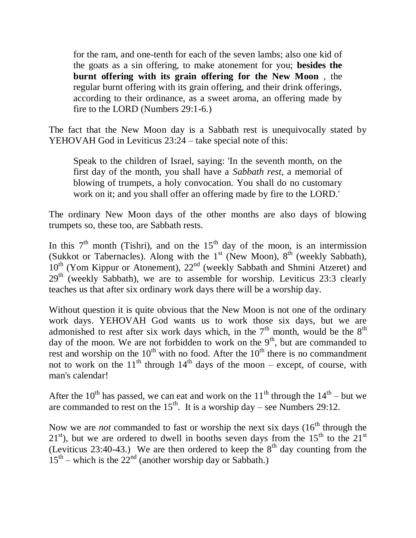for the ram, and one-tenth for each of the seven lambs; also one kid of the goats as a sin offering, to make atonement for you; **besides the burnt offering with its grain offering for the New Moon** , the regular burnt offering with its grain offering, and their drink offerings, according to their ordinance, as a sweet aroma, an offering made by fire to the LORD (Numbers 29:1-6.)

The fact that the New Moon day is a Sabbath rest is unequivocally stated by YEHOVAH God in Leviticus 23:24 – take special note of this:

Speak to the children of Israel, saying: 'In the seventh month, on the first day of the month, you shall have a *Sabbath rest*, a memorial of blowing of trumpets, a holy convocation. You shall do no customary work on it; and you shall offer an offering made by fire to the LORD.'

The ordinary New Moon days of the other months are also days of blowing trumpets so, these too, are Sabbath rests.

In this  $7<sup>th</sup>$  month (Tishri), and on the 15<sup>th</sup> day of the moon, is an intermission (Sukkot or Tabernacles). Along with the  $1<sup>st</sup>$  (New Moon),  $8<sup>th</sup>$  (weekly Sabbath), 10<sup>th</sup> (Yom Kippur or Atonement), 22<sup>nd</sup> (weekly Sabbath and Shmini Atzeret) and  $29<sup>th</sup>$  (weekly Sabbath), we are to assemble for worship. Leviticus 23:3 clearly teaches us that after six ordinary work days there will be a worship day.

Without question it is quite obvious that the New Moon is not one of the ordinary work days. YEHOVAH God wants us to work those six days, but we are admonished to rest after six work days which, in the  $7<sup>th</sup>$  month, would be the  $8<sup>th</sup>$ day of the moon. We are not forbidden to work on the  $9<sup>th</sup>$ , but are commanded to rest and worship on the  $10<sup>th</sup>$  with no food. After the  $10<sup>th</sup>$  there is no commandment not to work on the  $11<sup>th</sup>$  through  $14<sup>th</sup>$  days of the moon – except, of course, with man's calendar!

After the 10<sup>th</sup> has passed, we can eat and work on the 11<sup>th</sup> through the  $14<sup>th</sup>$  – but we are commanded to rest on the  $15<sup>th</sup>$ . It is a worship day – see Numbers 29:12.

Now we are *not* commanded to fast or worship the next six days (16<sup>th</sup> through the  $21<sup>st</sup>$ ), but we are ordered to dwell in booths seven days from the  $15<sup>th</sup>$  to the  $21<sup>st</sup>$ (Leviticus 23:40-43.) We are then ordered to keep the  $8<sup>th</sup>$  day counting from the  $15<sup>th</sup>$  – which is the  $22<sup>nd</sup>$  (another worship day or Sabbath.)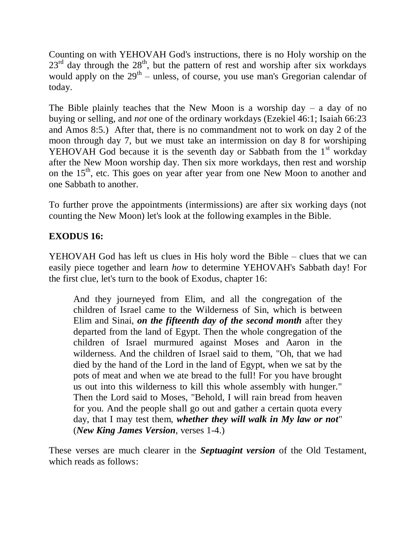Counting on with YEHOVAH God's instructions, there is no Holy worship on the  $23<sup>rd</sup>$  day through the  $28<sup>th</sup>$ , but the pattern of rest and worship after six workdays would apply on the  $29<sup>th</sup>$  – unless, of course, you use man's Gregorian calendar of today.

The Bible plainly teaches that the New Moon is a worship day  $-$  a day of no buying or selling, and *not* one of the ordinary workdays (Ezekiel 46:1; Isaiah 66:23 and Amos 8:5.) After that, there is no commandment not to work on day 2 of the moon through day 7, but we must take an intermission on day 8 for worshiping YEHOVAH God because it is the seventh day or Sabbath from the  $1<sup>st</sup>$  workday after the New Moon worship day. Then six more workdays, then rest and worship on the 15<sup>th</sup>, etc. This goes on year after year from one New Moon to another and one Sabbath to another.

To further prove the appointments (intermissions) are after six working days (not counting the New Moon) let's look at the following examples in the Bible.

## **EXODUS 16:**

YEHOVAH God has left us clues in His holy word the Bible – clues that we can easily piece together and learn *how* to determine YEHOVAH's Sabbath day! For the first clue, let's turn to the book of Exodus, chapter 16:

And they journeyed from Elim, and all the congregation of the children of Israel came to the Wilderness of Sin, which is between Elim and Sinai, *on the fifteenth day of the second month* after they departed from the land of Egypt. Then the whole congregation of the children of Israel murmured against Moses and Aaron in the wilderness. And the children of Israel said to them, "Oh, that we had died by the hand of the Lord in the land of Egypt, when we sat by the pots of meat and when we ate bread to the full! For you have brought us out into this wilderness to kill this whole assembly with hunger." Then the Lord said to Moses, "Behold, I will rain bread from heaven for you. And the people shall go out and gather a certain quota every day, that I may test them, *whether they will walk in My law or not*" (*New King James Version*, verses 1-4.)

These verses are much clearer in the *Septuagint version* of the Old Testament, which reads as follows: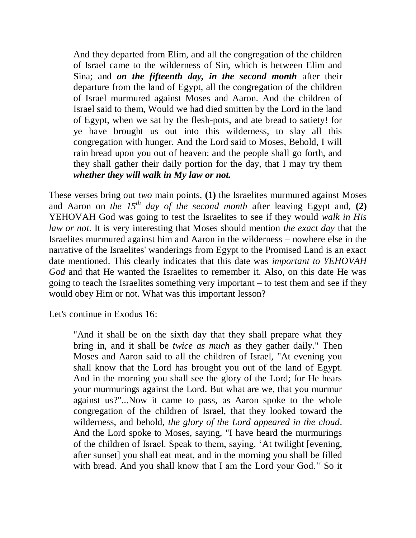And they departed from Elim, and all the congregation of the children of Israel came to the wilderness of Sin, which is between Elim and Sina; and *on the fifteenth day, in the second month* after their departure from the land of Egypt, all the congregation of the children of Israel murmured against Moses and Aaron. And the children of Israel said to them, Would we had died smitten by the Lord in the land of Egypt, when we sat by the flesh-pots, and ate bread to satiety! for ye have brought us out into this wilderness, to slay all this congregation with hunger. And the Lord said to Moses, Behold, I will rain bread upon you out of heaven: and the people shall go forth, and they shall gather their daily portion for the day, that I may try them *whether they will walk in My law or not.*

These verses bring out *two* main points, **(1)** the Israelites murmured against Moses and Aaron on *the 15th day of the second month* after leaving Egypt and, **(2)** YEHOVAH God was going to test the Israelites to see if they would *walk in His law or not*. It is very interesting that Moses should mention *the exact day* that the Israelites murmured against him and Aaron in the wilderness – nowhere else in the narrative of the Israelites' wanderings from Egypt to the Promised Land is an exact date mentioned. This clearly indicates that this date was *important to YEHOVAH God* and that He wanted the Israelites to remember it. Also, on this date He was going to teach the Israelites something very important – to test them and see if they would obey Him or not. What was this important lesson?

Let's continue in Exodus 16:

"And it shall be on the sixth day that they shall prepare what they bring in, and it shall be *twice as much* as they gather daily." Then Moses and Aaron said to all the children of Israel, "At evening you shall know that the Lord has brought you out of the land of Egypt. And in the morning you shall see the glory of the Lord; for He hears your murmurings against the Lord. But what are we, that you murmur against us?"...Now it came to pass, as Aaron spoke to the whole congregation of the children of Israel, that they looked toward the wilderness, and behold, *the glory of the Lord appeared in the cloud*. And the Lord spoke to Moses, saying, "I have heard the murmurings of the children of Israel. Speak to them, saying, 'At twilight [evening, after sunset] you shall eat meat, and in the morning you shall be filled with bread. And you shall know that I am the Lord your God.'' So it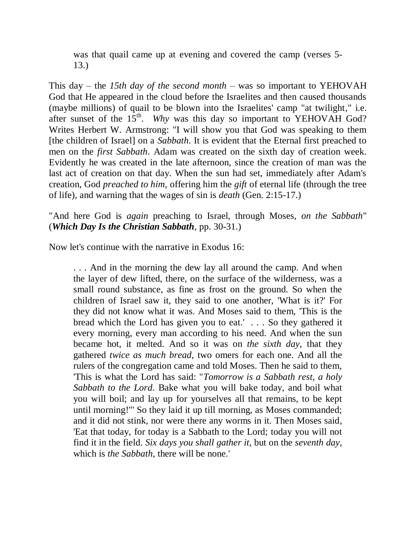was that quail came up at evening and covered the camp (verses 5- 13.)

This day – the *15th day of the second month* – was so important to YEHOVAH God that He appeared in the cloud before the Israelites and then caused thousands (maybe millions) of quail to be blown into the Israelites' camp "at twilight," i.e. after sunset of the  $15<sup>th</sup>$ . *Why* was this day so important to YEHOVAH God? Writes Herbert W. Armstrong: "I will show you that God was speaking to them [the children of Israel] on a *Sabbath*. It is evident that the Eternal first preached to men on the *first Sabbath*. Adam was created on the sixth day of creation week. Evidently he was created in the late afternoon, since the creation of man was the last act of creation on that day. When the sun had set, immediately after Adam's creation, God *preached to him*, offering him the *gift* of eternal life (through the tree of life), and warning that the wages of sin is *death* (Gen. 2:15-17.)

"And here God is *again* preaching to Israel, through Moses, *on the Sabbath*" (*Which Day Is the Christian Sabbath*, pp. 30-31.)

Now let's continue with the narrative in Exodus 16:

. . . And in the morning the dew lay all around the camp. And when the layer of dew lifted, there, on the surface of the wilderness, was a small round substance, as fine as frost on the ground. So when the children of Israel saw it, they said to one another, 'What is it?' For they did not know what it was. And Moses said to them, 'This is the bread which the Lord has given you to eat.' . . . So they gathered it every morning, every man according to his need. And when the sun became hot, it melted. And so it was on *the sixth day,* that they gathered *twice as much bread*, two omers for each one. And all the rulers of the congregation came and told Moses. Then he said to them, 'This is what the Lord has said: "*Tomorrow is a Sabbath rest, a holy Sabbath to the Lord*. Bake what you will bake today, and boil what you will boil; and lay up for yourselves all that remains, to be kept until morning!"' So they laid it up till morning, as Moses commanded; and it did not stink, nor were there any worms in it. Then Moses said, 'Eat that today, for today is a Sabbath to the Lord; today you will not find it in the field. *Six days you shall gather it*, but on the *seventh day*, which is *the Sabbath*, there will be none.'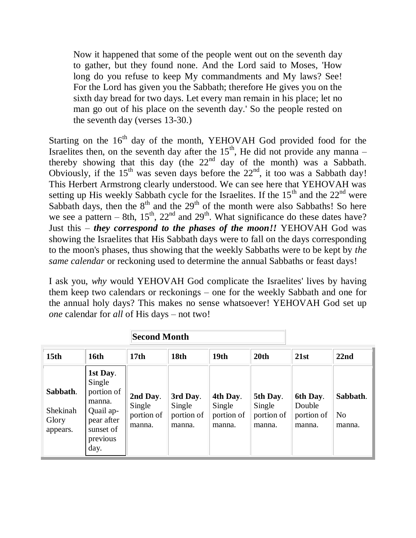Now it happened that some of the people went out on the seventh day to gather, but they found none. And the Lord said to Moses, 'How long do you refuse to keep My commandments and My laws? See! For the Lord has given you the Sabbath; therefore He gives you on the sixth day bread for two days. Let every man remain in his place; let no man go out of his place on the seventh day.' So the people rested on the seventh day (verses 13-30.)

Starting on the  $16<sup>th</sup>$  day of the month, YEHOVAH God provided food for the Israelites then, on the seventh day after the  $15<sup>th</sup>$ , He did not provide any manna – thereby showing that this day (the  $22<sup>nd</sup>$  day of the month) was a Sabbath. Obviously, if the  $15<sup>th</sup>$  was seven days before the  $22<sup>nd</sup>$ , it too was a Sabbath day! This Herbert Armstrong clearly understood. We can see here that YEHOVAH was setting up His weekly Sabbath cycle for the Israelites. If the  $15<sup>th</sup>$  and the  $22<sup>nd</sup>$  were Sabbath days, then the  $8<sup>th</sup>$  and the  $29<sup>th</sup>$  of the month were also Sabbaths! So here we see a pattern – 8th,  $15<sup>th</sup>$ ,  $22<sup>nd</sup>$  and  $29<sup>th</sup>$ . What significance do these dates have? Just this – *they correspond to the phases of the moon!!* YEHOVAH God was showing the Israelites that His Sabbath days were to fall on the days corresponding to the moon's phases, thus showing that the weekly Sabbaths were to be kept by *the same calendar* or reckoning used to determine the annual Sabbaths or feast days!

I ask you, *why* would YEHOVAH God complicate the Israelites' lives by having them keep two calendars or reckonings – one for the weekly Sabbath and one for the annual holy days? This makes no sense whatsoever! YEHOVAH God set up *one* calendar for *all* of His days – not two!

|                                           |                                                                                                        | <b>Second Month</b>                        |                                            |                                            |                                            |                                            |                                      |
|-------------------------------------------|--------------------------------------------------------------------------------------------------------|--------------------------------------------|--------------------------------------------|--------------------------------------------|--------------------------------------------|--------------------------------------------|--------------------------------------|
| 15 <sub>th</sub>                          | <b>16th</b>                                                                                            | 17 <sub>th</sub>                           | 18th                                       | 19th                                       | 20th                                       | 21st                                       | 22nd                                 |
| Sabbath.<br>Shekinah<br>Glory<br>appears. | 1st Day.<br>Single<br>portion of<br>manna.<br>Quail ap-<br>pear after<br>sunset of<br>previous<br>day. | 2nd Day.<br>Single<br>portion of<br>manna. | 3rd Day.<br>Single<br>portion of<br>manna. | 4th Day.<br>Single<br>portion of<br>manna. | 5th Day.<br>Single<br>portion of<br>manna. | 6th Day.<br>Double<br>portion of<br>manna. | Sabbath.<br>N <sub>o</sub><br>manna. |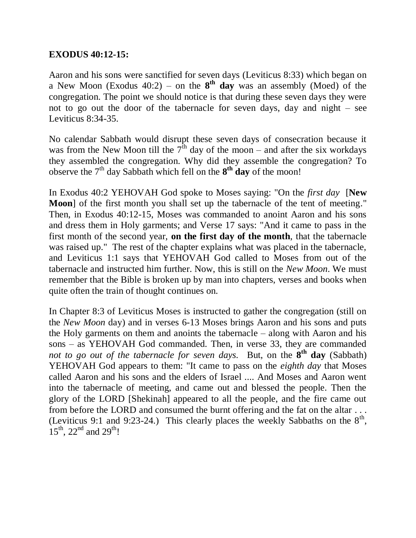#### **EXODUS 40:12-15:**

Aaron and his sons were sanctified for seven days (Leviticus 8:33) which began on a New Moon (Exodus 40:2) – on the  $8<sup>th</sup>$  day was an assembly (Moed) of the congregation. The point we should notice is that during these seven days they were not to go out the door of the tabernacle for seven days, day and night – see Leviticus 8:34-35.

No calendar Sabbath would disrupt these seven days of consecration because it was from the New Moon till the  $7<sup>th</sup>$  day of the moon – and after the six workdays they assembled the congregation. Why did they assemble the congregation? To observe the  $7<sup>th</sup>$  day Sabbath which fell on the  $8<sup>th</sup>$  day of the moon!

In Exodus 40:2 YEHOVAH God spoke to Moses saying: "On the *first day* [**New Moon**] of the first month you shall set up the tabernacle of the tent of meeting." Then, in Exodus 40:12-15, Moses was commanded to anoint Aaron and his sons and dress them in Holy garments; and Verse 17 says: "And it came to pass in the first month of the second year, **on the first day of the month**, that the tabernacle was raised up." The rest of the chapter explains what was placed in the tabernacle, and Leviticus 1:1 says that YEHOVAH God called to Moses from out of the tabernacle and instructed him further. Now, this is still on the *New Moon*. We must remember that the Bible is broken up by man into chapters, verses and books when quite often the train of thought continues on.

In Chapter 8:3 of Leviticus Moses is instructed to gather the congregation (still on the *New Moon* day) and in verses 6-13 Moses brings Aaron and his sons and puts the Holy garments on them and anoints the tabernacle – along with Aaron and his sons – as YEHOVAH God commanded. Then, in verse 33, they are commanded *not to go out of the tabernacle for seven days.* But, on the **8 th day** (Sabbath) YEHOVAH God appears to them: "It came to pass on the *eighth day* that Moses called Aaron and his sons and the elders of Israel .... And Moses and Aaron went into the tabernacle of meeting, and came out and blessed the people. Then the glory of the LORD [Shekinah] appeared to all the people, and the fire came out from before the LORD and consumed the burnt offering and the fat on the altar . . . (Leviticus 9:1 and 9:23-24.) This clearly places the weekly Sabbaths on the  $8<sup>th</sup>$ ,  $15^{th}$ ,  $22^{nd}$  and  $29^{th}$ !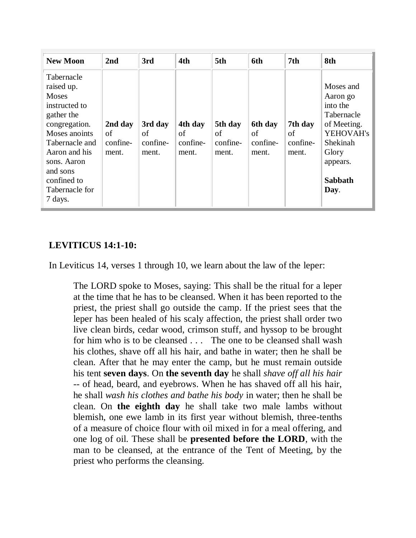| <b>New Moon</b>                                                                                                                                                                                                     | 2nd                                | 3rd                                | 4th                                | 5th                                | 6th                                | 7 <sub>th</sub>                    | 8th                                                                                                                                    |
|---------------------------------------------------------------------------------------------------------------------------------------------------------------------------------------------------------------------|------------------------------------|------------------------------------|------------------------------------|------------------------------------|------------------------------------|------------------------------------|----------------------------------------------------------------------------------------------------------------------------------------|
| Tabernacle<br>raised up.<br><b>Moses</b><br>instructed to<br>gather the<br>congregation.<br>Moses anoints<br>Tabernacle and<br>Aaron and his<br>sons. Aaron<br>and sons<br>confined to<br>Tabernacle for<br>7 days. | 2nd day<br>of<br>confine-<br>ment. | 3rd day<br>of<br>confine-<br>ment. | 4th day<br>of<br>confine-<br>ment. | 5th day<br>οf<br>confine-<br>ment. | 6th day<br>of<br>confine-<br>ment. | 7th day<br>of<br>confine-<br>ment. | Moses and<br>Aaron go<br>into the<br>Tabernacle<br>of Meeting.<br>YEHOVAH's<br>Shekinah<br>Glory<br>appears.<br><b>Sabbath</b><br>Day. |

## **LEVITICUS 14:1-10:**

In Leviticus 14, verses 1 through 10, we learn about the law of the leper:

The LORD spoke to Moses, saying: This shall be the ritual for a leper at the time that he has to be cleansed. When it has been reported to the priest, the priest shall go outside the camp. If the priest sees that the leper has been healed of his scaly affection, the priest shall order two live clean birds, cedar wood, crimson stuff, and hyssop to be brought for him who is to be cleansed . . . The one to be cleansed shall wash his clothes, shave off all his hair, and bathe in water; then he shall be clean. After that he may enter the camp, but he must remain outside his tent **seven days**. On **the seventh day** he shall *shave off all his hair* -- of head, beard, and eyebrows. When he has shaved off all his hair, he shall *wash his clothes and bathe his body* in water; then he shall be clean. On **the eighth day** he shall take two male lambs without blemish, one ewe lamb in its first year without blemish, three-tenths of a measure of choice flour with oil mixed in for a meal offering, and one log of oil. These shall be **presented before the LORD**, with the man to be cleansed, at the entrance of the Tent of Meeting, by the priest who performs the cleansing.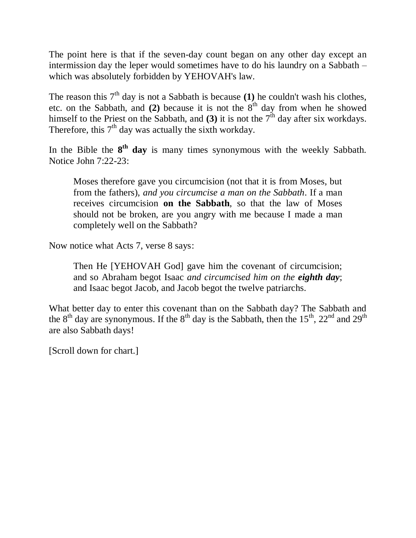The point here is that if the seven-day count began on any other day except an intermission day the leper would sometimes have to do his laundry on a Sabbath – which was absolutely forbidden by YEHOVAH's law.

The reason this  $7<sup>th</sup>$  day is not a Sabbath is because (1) he couldn't wash his clothes, etc. on the Sabbath, and  $(2)$  because it is not the  $8<sup>th</sup>$  day from when he showed himself to the Priest on the Sabbath, and  $(3)$  it is not the 7<sup>th</sup> day after six workdays. Therefore, this  $7<sup>th</sup>$  day was actually the sixth workday.

In the Bible the **8 th day** is many times synonymous with the weekly Sabbath. Notice John 7:22-23:

Moses therefore gave you circumcision (not that it is from Moses, but from the fathers), *and you circumcise a man on the Sabbath*. If a man receives circumcision **on the Sabbath**, so that the law of Moses should not be broken, are you angry with me because I made a man completely well on the Sabbath?

Now notice what Acts 7, verse 8 says:

Then He [YEHOVAH God] gave him the covenant of circumcision; and so Abraham begot Isaac *and circumcised him on the eighth day*; and Isaac begot Jacob, and Jacob begot the twelve patriarchs.

What better day to enter this covenant than on the Sabbath day? The Sabbath and the 8<sup>th</sup> day are synonymous. If the 8<sup>th</sup> day is the Sabbath, then the 15<sup>th</sup>, 22<sup>nd</sup> and 29<sup>th</sup> are also Sabbath days!

[Scroll down for chart.]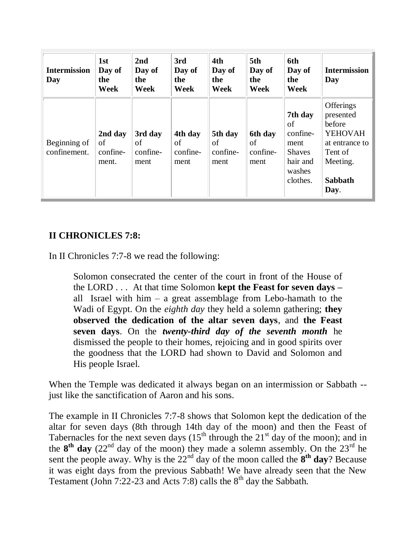| <b>Intermission</b><br>Day   | 1st<br>Day of<br>the<br>Week       | 2nd<br>Day of<br>the<br>Week      | 3rd<br>Day of<br>the<br>Week      | 4th<br>Day of<br>the<br>Week      | 5th<br>Day of<br>the<br>Week      | 6th<br>Day of<br>the<br>Week                                                         | <b>Intermission</b><br>Day                                                                                            |
|------------------------------|------------------------------------|-----------------------------------|-----------------------------------|-----------------------------------|-----------------------------------|--------------------------------------------------------------------------------------|-----------------------------------------------------------------------------------------------------------------------|
| Beginning of<br>confinement. | 2nd day<br>of<br>confine-<br>ment. | 3rd day<br>of<br>confine-<br>ment | 4th day<br>of<br>confine-<br>ment | 5th day<br>οf<br>confine-<br>ment | 6th day<br>of<br>confine-<br>ment | 7th day<br>of<br>confine-<br>ment<br><b>Shaves</b><br>hair and<br>washes<br>clothes. | Offerings<br>presented<br>before<br><b>YEHOVAH</b><br>at entrance to<br>Tent of<br>Meeting.<br><b>Sabbath</b><br>Day. |

#### **II CHRONICLES 7:8:**

In II Chronicles 7:7-8 we read the following:

Solomon consecrated the center of the court in front of the House of the LORD . . . At that time Solomon **kept the Feast for seven days –** all Israel with him – a great assemblage from Lebo-hamath to the Wadi of Egypt. On the *eighth day* they held a solemn gathering; **they observed the dedication of the altar seven days**, and **the Feast seven days**. On the *twenty-third day of the seventh month* he dismissed the people to their homes, rejoicing and in good spirits over the goodness that the LORD had shown to David and Solomon and His people Israel.

When the Temple was dedicated it always began on an intermission or Sabbath - just like the sanctification of Aaron and his sons.

The example in II Chronicles 7:7-8 shows that Solomon kept the dedication of the altar for seven days (8th through 14th day of the moon) and then the Feast of Tabernacles for the next seven days  $(15^{th}$  through the  $21^{st}$  day of the moon); and in the  $8<sup>th</sup>$  day  $(22<sup>nd</sup>$  day of the moon) they made a solemn assembly. On the  $23<sup>rd</sup>$  he sent the people away. Why is the  $22<sup>nd</sup>$  day of the moon called the  $8<sup>th</sup>$  day? Because it was eight days from the previous Sabbath! We have already seen that the New Testament (John 7:22-23 and Acts 7:8) calls the  $8<sup>th</sup>$  day the Sabbath.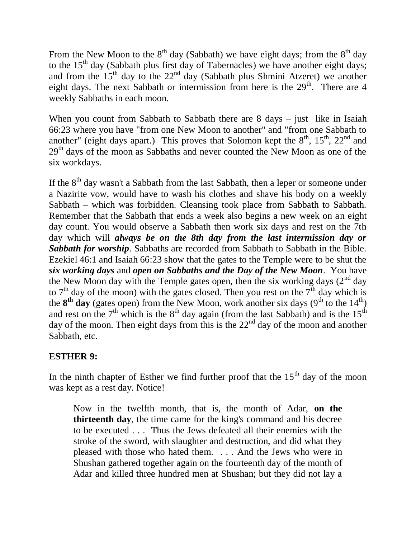From the New Moon to the  $8<sup>th</sup>$  day (Sabbath) we have eight days; from the  $8<sup>th</sup>$  day to the  $15<sup>th</sup>$  day (Sabbath plus first day of Tabernacles) we have another eight days; and from the  $15<sup>th</sup>$  day to the  $22<sup>nd</sup>$  day (Sabbath plus Shmini Atzeret) we another eight days. The next Sabbath or intermission from here is the  $29<sup>th</sup>$ . There are 4 weekly Sabbaths in each moon.

When you count from Sabbath to Sabbath there are 8 days – just like in Isaiah 66:23 where you have "from one New Moon to another" and "from one Sabbath to another" (eight days apart.) This proves that Solomon kept the  $8<sup>th</sup>$ ,  $15<sup>th</sup>$ ,  $22<sup>nd</sup>$  and 29<sup>th</sup> days of the moon as Sabbaths and never counted the New Moon as one of the six workdays.

If the  $8<sup>th</sup>$  day wasn't a Sabbath from the last Sabbath, then a leper or someone under a Nazirite vow, would have to wash his clothes and shave his body on a weekly Sabbath – which was forbidden. Cleansing took place from Sabbath to Sabbath. Remember that the Sabbath that ends a week also begins a new week on an eight day count. You would observe a Sabbath then work six days and rest on the 7th day which will *always be on the 8th day from the last intermission day or Sabbath for worship*. Sabbaths are recorded from Sabbath to Sabbath in the Bible. Ezekiel 46:1 and Isaiah 66:23 show that the gates to the Temple were to be shut the *six working days* and *open on Sabbaths and the Day of the New Moon*. You have the New Moon day with the Temple gates open, then the six working days  $(2^{nd}$  day to  $7<sup>th</sup>$  day of the moon) with the gates closed. Then you rest on the  $7<sup>th</sup>$  day which is the  $8<sup>th</sup>$  day (gates open) from the New Moon, work another six days ( $9<sup>th</sup>$  to the  $14<sup>th</sup>$ ) and rest on the  $7<sup>th</sup>$  which is the  $8<sup>th</sup>$  day again (from the last Sabbath) and is the  $15<sup>th</sup>$ day of the moon. Then eight days from this is the  $22<sup>nd</sup>$  day of the moon and another Sabbath, etc.

## **ESTHER 9:**

In the ninth chapter of Esther we find further proof that the  $15<sup>th</sup>$  day of the moon was kept as a rest day. Notice!

Now in the twelfth month, that is, the month of Adar, **on the thirteenth day**, the time came for the king's command and his decree to be executed . . . Thus the Jews defeated all their enemies with the stroke of the sword, with slaughter and destruction, and did what they pleased with those who hated them. . . . And the Jews who were in Shushan gathered together again on the fourteenth day of the month of Adar and killed three hundred men at Shushan; but they did not lay a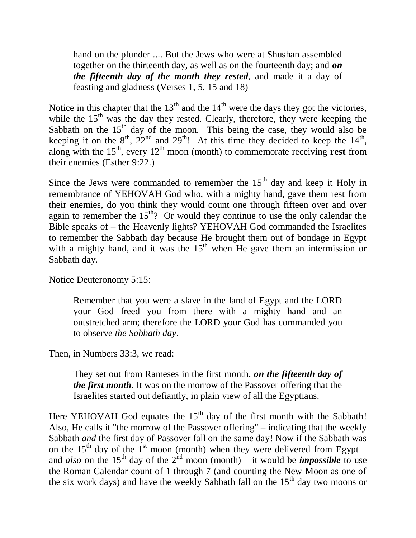hand on the plunder .... But the Jews who were at Shushan assembled together on the thirteenth day, as well as on the fourteenth day; and *on the fifteenth day of the month they rested*, and made it a day of feasting and gladness (Verses 1, 5, 15 and 18)

Notice in this chapter that the  $13<sup>th</sup>$  and the  $14<sup>th</sup>$  were the days they got the victories, while the  $15<sup>th</sup>$  was the day they rested. Clearly, therefore, they were keeping the Sabbath on the  $15<sup>th</sup>$  day of the moon. This being the case, they would also be keeping it on the  $8^{th}$ ,  $22^{nd}$  and  $29^{th}$ ! At this time they decided to keep the  $14^{th}$ , along with the  $15<sup>th</sup>$ , every  $12<sup>th</sup>$  moon (month) to commemorate receiving **rest** from their enemies (Esther 9:22.)

Since the Jews were commanded to remember the  $15<sup>th</sup>$  day and keep it Holy in remembrance of YEHOVAH God who, with a mighty hand, gave them rest from their enemies, do you think they would count one through fifteen over and over again to remember the  $15<sup>th</sup>$ ? Or would they continue to use the only calendar the Bible speaks of – the Heavenly lights? YEHOVAH God commanded the Israelites to remember the Sabbath day because He brought them out of bondage in Egypt with a mighty hand, and it was the  $15<sup>th</sup>$  when He gave them an intermission or Sabbath day.

Notice Deuteronomy 5:15:

Remember that you were a slave in the land of Egypt and the LORD your God freed you from there with a mighty hand and an outstretched arm; therefore the LORD your God has commanded you to observe *the Sabbath day*.

Then, in Numbers 33:3, we read:

They set out from Rameses in the first month*, on the fifteenth day of the first month*. It was on the morrow of the Passover offering that the Israelites started out defiantly, in plain view of all the Egyptians.

Here YEHOVAH God equates the  $15<sup>th</sup>$  day of the first month with the Sabbath! Also, He calls it "the morrow of the Passover offering" – indicating that the weekly Sabbath *and* the first day of Passover fall on the same day! Now if the Sabbath was on the 15<sup>th</sup> day of the 1<sup>st</sup> moon (month) when they were delivered from Egypt – and *also* on the 15<sup>th</sup> day of the  $2^{nd}$  moon (month) – it would be *impossible* to use the Roman Calendar count of 1 through 7 (and counting the New Moon as one of the six work days) and have the weekly Sabbath fall on the  $15<sup>th</sup>$  day two moons or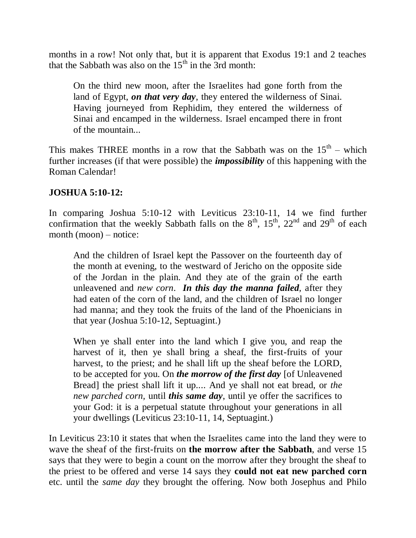months in a row! Not only that, but it is apparent that Exodus 19:1 and 2 teaches that the Sabbath was also on the  $15<sup>th</sup>$  in the  $3rd$  month:

On the third new moon, after the Israelites had gone forth from the land of Egypt, *on that very day*, they entered the wilderness of Sinai. Having journeyed from Rephidim, they entered the wilderness of Sinai and encamped in the wilderness. Israel encamped there in front of the mountain...

This makes THREE months in a row that the Sabbath was on the  $15<sup>th</sup>$  – which further increases (if that were possible) the *impossibility* of this happening with the Roman Calendar!

#### **JOSHUA 5:10-12:**

In comparing Joshua 5:10-12 with Leviticus 23:10-11, 14 we find further confirmation that the weekly Sabbath falls on the  $8<sup>th</sup>$ ,  $15<sup>th</sup>$ ,  $22<sup>nd</sup>$  and  $29<sup>th</sup>$  of each month (moon) – notice:

And the children of Israel kept the Passover on the fourteenth day of the month at evening, to the westward of Jericho on the opposite side of the Jordan in the plain. And they ate of the grain of the earth unleavened and *new corn*. *In this day the manna failed,* after they had eaten of the corn of the land, and the children of Israel no longer had manna; and they took the fruits of the land of the Phoenicians in that year (Joshua 5:10-12, Septuagint.)

When ye shall enter into the land which I give you, and reap the harvest of it, then ye shall bring a sheaf, the first-fruits of your harvest, to the priest; and he shall lift up the sheaf before the LORD, to be accepted for you. On *the morrow of the first day* [of Unleavened Bread] the priest shall lift it up.... And ye shall not eat bread, or *the new parched corn,* until *this same day*, until ye offer the sacrifices to your God: it is a perpetual statute throughout your generations in all your dwellings (Leviticus 23:10-11, 14, Septuagint.)

In Leviticus 23:10 it states that when the Israelites came into the land they were to wave the sheaf of the first-fruits on **the morrow after the Sabbath**, and verse 15 says that they were to begin a count on the morrow after they brought the sheaf to the priest to be offered and verse 14 says they **could not eat new parched corn** etc. until the *same day* they brought the offering. Now both Josephus and Philo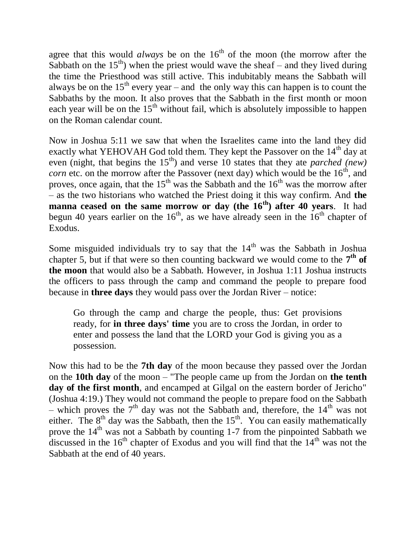agree that this would *always* be on the  $16<sup>th</sup>$  of the moon (the morrow after the Sabbath on the  $15<sup>th</sup>$ ) when the priest would wave the sheaf – and they lived during the time the Priesthood was still active. This indubitably means the Sabbath will always be on the  $15<sup>th</sup>$  every year – and the only way this can happen is to count the Sabbaths by the moon. It also proves that the Sabbath in the first month or moon each year will be on the  $15<sup>th</sup>$  without fail, which is absolutely impossible to happen on the Roman calendar count.

Now in Joshua 5:11 we saw that when the Israelites came into the land they did exactly what YEHOVAH God told them. They kept the Passover on the 14<sup>th</sup> day at even (night, that begins the 15<sup>th</sup>) and verse 10 states that they ate *parched* (new) *corn* etc. on the morrow after the Passover (next day) which would be the  $16<sup>th</sup>$ , and proves, once again, that the  $15<sup>th</sup>$  was the Sabbath and the  $16<sup>th</sup>$  was the morrow after – as the two historians who watched the Priest doing it this way confirm. And **the manna ceased on the same morrow or day (the 16<sup>th</sup>) after 40 years. It had** begun 40 years earlier on the  $16<sup>th</sup>$ , as we have already seen in the  $16<sup>th</sup>$  chapter of Exodus.

Some misguided individuals try to say that the  $14<sup>th</sup>$  was the Sabbath in Joshua chapter 5, but if that were so then counting backward we would come to the  $7<sup>th</sup>$  of **the moon** that would also be a Sabbath. However, in Joshua 1:11 Joshua instructs the officers to pass through the camp and command the people to prepare food because in **three days** they would pass over the Jordan River – notice:

Go through the camp and charge the people, thus: Get provisions ready, for **in three days' time** you are to cross the Jordan, in order to enter and possess the land that the LORD your God is giving you as a possession.

Now this had to be the **7th day** of the moon because they passed over the Jordan on the **10th day** of the moon – "The people came up from the Jordan on **the tenth day of the first month**, and encamped at Gilgal on the eastern border of Jericho" (Joshua 4:19.) They would not command the people to prepare food on the Sabbath – which proves the  $7<sup>th</sup>$  day was not the Sabbath and, therefore, the  $14<sup>th</sup>$  was not either. The  $8<sup>th</sup>$  day was the Sabbath, then the  $15<sup>th</sup>$ . You can easily mathematically prove the  $14<sup>th</sup>$  was not a Sabbath by counting 1-7 from the pinpointed Sabbath we discussed in the  $16<sup>th</sup>$  chapter of Exodus and you will find that the  $14<sup>th</sup>$  was not the Sabbath at the end of 40 years.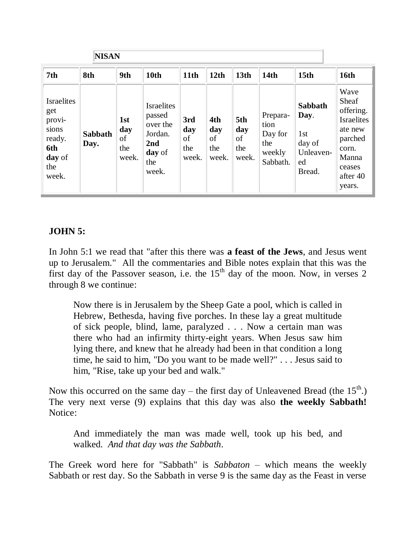|                                                                                        | <b>NISAN</b>           |                                  |                                                                                     |                                  |                                  |                                  |                                                          |                                                                           |                                                                                                                         |  |
|----------------------------------------------------------------------------------------|------------------------|----------------------------------|-------------------------------------------------------------------------------------|----------------------------------|----------------------------------|----------------------------------|----------------------------------------------------------|---------------------------------------------------------------------------|-------------------------------------------------------------------------------------------------------------------------|--|
| 7th                                                                                    | 8th                    | 9th                              | 10th                                                                                | 11 <sub>th</sub>                 | 12th                             | 13 <sub>th</sub>                 | 14 <sub>th</sub>                                         | 15 <sub>th</sub>                                                          | <b>16th</b>                                                                                                             |  |
| <b>Israelites</b><br>get<br>provi-<br>sions<br>ready.<br>6th<br>day of<br>the<br>week. | <b>Sabbath</b><br>Day. | 1st<br>day<br>of<br>the<br>week. | <b>Israelites</b><br>passed<br>over the<br>Jordan.<br>2nd<br>day of<br>the<br>week. | 3rd<br>day<br>of<br>the<br>week. | 4th<br>day<br>of<br>the<br>week. | 5th<br>day<br>οf<br>the<br>week. | Prepara-<br>tion<br>Day for<br>the<br>weekly<br>Sabbath. | Sabbath<br>Day.<br>1 <sub>st</sub><br>day of<br>Unleaven-<br>ed<br>Bread. | Wave<br>Sheaf<br>offering.<br><b>Israelites</b><br>ate new<br>parched<br>corn.<br>Manna<br>ceases<br>after 40<br>years. |  |

## **JOHN 5:**

In John 5:1 we read that "after this there was **a feast of the Jews**, and Jesus went up to Jerusalem." All the commentaries and Bible notes explain that this was the first day of the Passover season, i.e. the  $15<sup>th</sup>$  day of the moon. Now, in verses 2 through 8 we continue:

Now there is in Jerusalem by the Sheep Gate a pool, which is called in Hebrew, Bethesda, having five porches. In these lay a great multitude of sick people, blind, lame, paralyzed . . . Now a certain man was there who had an infirmity thirty-eight years. When Jesus saw him lying there, and knew that he already had been in that condition a long time, he said to him, "Do you want to be made well?" . . . Jesus said to him, "Rise, take up your bed and walk."

Now this occurred on the same day – the first day of Unleavened Bread (the  $15<sup>th</sup>$ .) The very next verse (9) explains that this day was also **the weekly Sabbath!** Notice:

And immediately the man was made well, took up his bed, and walked. *And that day was the Sabbath*.

The Greek word here for "Sabbath" is *Sabbaton* – which means the weekly Sabbath or rest day. So the Sabbath in verse 9 is the same day as the Feast in verse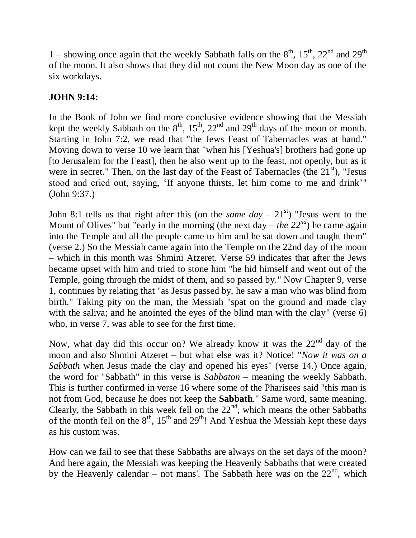1 – showing once again that the weekly Sabbath falls on the  $8<sup>th</sup>$ ,  $15<sup>th</sup>$ ,  $22<sup>nd</sup>$  and  $29<sup>th</sup>$ of the moon. It also shows that they did not count the New Moon day as one of the six workdays.

## **JOHN 9:14:**

In the Book of John we find more conclusive evidence showing that the Messiah kept the weekly Sabbath on the  $8<sup>th</sup>$ ,  $15<sup>th</sup>$ ,  $22<sup>nd</sup>$  and  $29<sup>th</sup>$  days of the moon or month. Starting in John 7:2, we read that "the Jews Feast of Tabernacles was at hand." Moving down to verse 10 we learn that "when his [Yeshua's] brothers had gone up [to Jerusalem for the Feast], then he also went up to the feast, not openly, but as it were in secret." Then, on the last day of the Feast of Tabernacles (the  $21<sup>st</sup>$ ), "Jesus stood and cried out, saying, 'If anyone thirsts, let him come to me and drink'" (John 9:37.)

John 8:1 tells us that right after this (on the *same day*  $-21<sup>st</sup>$ ) "Jesus went to the Mount of Olives" but "early in the morning (the next day – *the 22<sup>nd</sup>*) he came again into the Temple and all the people came to him and he sat down and taught them" (verse 2.) So the Messiah came again into the Temple on the 22nd day of the moon – which in this month was Shmini Atzeret. Verse 59 indicates that after the Jews became upset with him and tried to stone him "he hid himself and went out of the Temple, going through the midst of them, and so passed by." Now Chapter 9, verse 1, continues by relating that "as Jesus passed by, he saw a man who was blind from birth." Taking pity on the man, the Messiah "spat on the ground and made clay with the saliva; and he anointed the eyes of the blind man with the clay" (verse 6) who, in verse 7, was able to see for the first time.

Now, what day did this occur on? We already know it was the  $22<sup>nd</sup>$  day of the moon and also Shmini Atzeret – but what else was it? Notice! "*Now it was on a Sabbath* when Jesus made the clay and opened his eyes" (verse 14.) Once again, the word for "Sabbath" in this verse is *Sabbaton* – meaning the weekly Sabbath. This is further confirmed in verse 16 where some of the Pharisees said "this man is not from God, because he does not keep the **Sabbath**." Same word, same meaning. Clearly, the Sabbath in this week fell on the  $22<sup>nd</sup>$ , which means the other Sabbaths of the month fell on the  $8<sup>th</sup>$ ,  $15<sup>th</sup>$  and  $29<sup>th</sup>$ ! And Yeshua the Messiah kept these days as his custom was.

How can we fail to see that these Sabbaths are always on the set days of the moon? And here again, the Messiah was keeping the Heavenly Sabbaths that were created by the Heavenly calendar – not mans'. The Sabbath here was on the  $22<sup>nd</sup>$ , which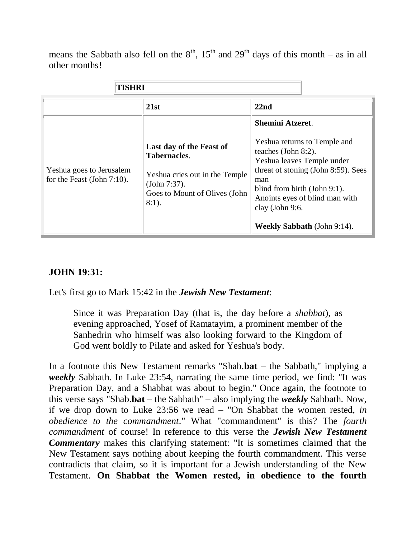means the Sabbath also fell on the  $8<sup>th</sup>$ ,  $15<sup>th</sup>$  and  $29<sup>th</sup>$  days of this month – as in all other months!

| TISHRI                                                    |                                                                                                                                                |                                                                                                                                                                                                                                                                                       |
|-----------------------------------------------------------|------------------------------------------------------------------------------------------------------------------------------------------------|---------------------------------------------------------------------------------------------------------------------------------------------------------------------------------------------------------------------------------------------------------------------------------------|
|                                                           | 21st                                                                                                                                           | 22nd                                                                                                                                                                                                                                                                                  |
| Yeshua goes to Jerusalem<br>for the Feast (John $7:10$ ). | Last day of the Feast of<br><b>Tabernacles.</b><br>Yeshua cries out in the Temple<br>(John 7:37).<br>Goes to Mount of Olives (John<br>$8:1$ ). | <b>Shemini Atzeret.</b><br>Yeshua returns to Temple and<br>teaches (John 8:2).<br>Yeshua leaves Temple under<br>threat of stoning (John 8:59). Sees<br>man<br>blind from birth (John 9:1).<br>Anoints eyes of blind man with<br>clay (John 9:6.<br><b>Weekly Sabbath</b> (John 9:14). |

## **JOHN 19:31:**

Let's first go to Mark 15:42 in the *Jewish New Testament*:

Since it was Preparation Day (that is, the day before a *shabbat*), as evening approached, Yosef of Ramatayim, a prominent member of the Sanhedrin who himself was also looking forward to the Kingdom of God went boldly to Pilate and asked for Yeshua's body.

In a footnote this New Testament remarks "Shab.**bat** – the Sabbath," implying a *weekly* Sabbath. In Luke 23:54, narrating the same time period, we find: "It was Preparation Day, and a Shabbat was about to begin." Once again, the footnote to this verse says "Shab.**bat** – the Sabbath" – also implying the *weekly* Sabbath. Now, if we drop down to Luke 23:56 we read – "On Shabbat the women rested, *in obedience to the commandment*." What "commandment" is this? The *fourth commandment* of course! In reference to this verse the *Jewish New Testament Commentary* makes this clarifying statement: "It is sometimes claimed that the New Testament says nothing about keeping the fourth commandment. This verse contradicts that claim, so it is important for a Jewish understanding of the New Testament. **On Shabbat the Women rested, in obedience to the fourth**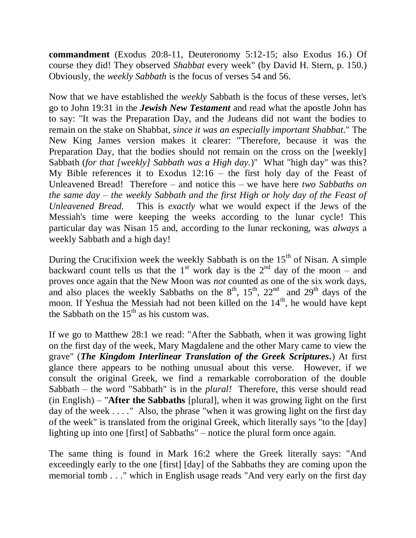**commandment** (Exodus 20:8-11, Deuteronomy 5:12-15; also Exodus 16.) Of course they did! They observed *Shabbat* every week" (by David H. Stern, p. 150.) Obviously, the *weekly Sabbath* is the focus of verses 54 and 56.

Now that we have established the *weekly* Sabbath is the focus of these verses, let's go to John 19:31 in the *Jewish New Testament* and read what the apostle John has to say: "It was the Preparation Day, and the Judeans did not want the bodies to remain on the stake on Shabbat, *since it was an especially important Shabbat*." The New King James version makes it clearer: "Therefore, because it was the Preparation Day, that the bodies should not remain on the cross on the [weekly] Sabbath (*for that [weekly] Sabbath was a High day.*)" What "high day" was this? My Bible references it to Exodus  $12:16$  – the first holy day of the Feast of Unleavened Bread! Therefore – and notice this – we have here *two Sabbaths on the same day – the weekly Sabbath and the first High or holy day of the Feast of Unleavened Bread.* This is *exactly* what we would expect if the Jews of the Messiah's time were keeping the weeks according to the lunar cycle! This particular day was Nisan 15 and, according to the lunar reckoning, was *always* a weekly Sabbath and a high day!

During the Crucifixion week the weekly Sabbath is on the  $15<sup>th</sup>$  of Nisan. A simple backward count tells us that the 1<sup>st</sup> work day is the 2<sup>nd</sup> day of the moon – and proves once again that the New Moon was *not* counted as one of the six work days, and also places the weekly Sabbaths on the  $8<sup>th</sup>$ ,  $15<sup>th</sup>$ ,  $22<sup>nd</sup>$  and  $29<sup>th</sup>$  days of the moon. If Yeshua the Messiah had not been killed on the  $14<sup>th</sup>$ , he would have kept the Sabbath on the  $15<sup>th</sup>$  as his custom was.

If we go to Matthew 28:1 we read: "After the Sabbath, when it was growing light on the first day of the week, Mary Magdalene and the other Mary came to view the grave" (*The Kingdom Interlinear Translation of the Greek Scriptures.*) At first glance there appears to be nothing unusual about this verse. However, if we consult the original Greek, we find a remarkable corroboration of the double Sabbath – the word "Sabbath" is in the *plural!* Therefore, this verse should read (in English) – "**After the Sabbaths** [plural], when it was growing light on the first day of the week . . . . " Also, the phrase "when it was growing light on the first day of the week" is translated from the original Greek, which literally says "to the [day] lighting up into one [first] of Sabbaths" – notice the plural form once again.

The same thing is found in Mark 16:2 where the Greek literally says: "And exceedingly early to the one [first] [day] of the Sabbaths they are coming upon the memorial tomb . . ." which in English usage reads "And very early on the first day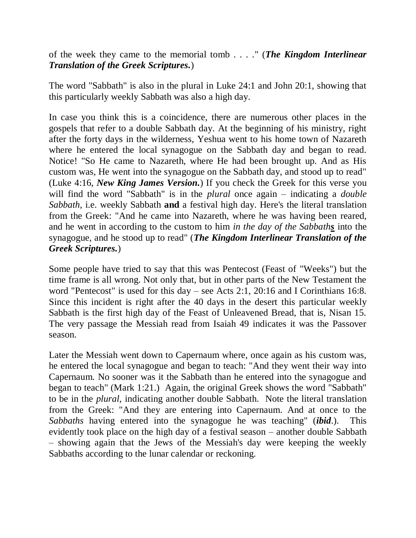of the week they came to the memorial tomb . . . ." (*The Kingdom Interlinear Translation of the Greek Scriptures.*)

The word "Sabbath" is also in the plural in Luke 24:1 and John 20:1, showing that this particularly weekly Sabbath was also a high day.

In case you think this is a coincidence, there are numerous other places in the gospels that refer to a double Sabbath day. At the beginning of his ministry, right after the forty days in the wilderness, Yeshua went to his home town of Nazareth where he entered the local synagogue on the Sabbath day and began to read. Notice! "So He came to Nazareth, where He had been brought up. And as His custom was, He went into the synagogue on the Sabbath day, and stood up to read" (Luke 4:16, *New King James Version.*) If you check the Greek for this verse you will find the word "Sabbath" is in the *plural* once again – indicating a *double Sabbath*, i.e. weekly Sabbath **and** a festival high day. Here's the literal translation from the Greek: "And he came into Nazareth, where he was having been reared, and he went in according to the custom to him *in the day of the Sabbaths* into the synagogue, and he stood up to read" (*The Kingdom Interlinear Translation of the Greek Scriptures.*)

Some people have tried to say that this was Pentecost (Feast of "Weeks") but the time frame is all wrong. Not only that, but in other parts of the New Testament the word "Pentecost" is used for this day – see Acts 2:1, 20:16 and I Corinthians 16:8. Since this incident is right after the 40 days in the desert this particular weekly Sabbath is the first high day of the Feast of Unleavened Bread, that is, Nisan 15. The very passage the Messiah read from Isaiah 49 indicates it was the Passover season.

Later the Messiah went down to Capernaum where, once again as his custom was, he entered the local synagogue and began to teach: "And they went their way into Capernaum. No sooner was it the Sabbath than he entered into the synagogue and began to teach" (Mark 1:21.) Again, the original Greek shows the word "Sabbath" to be in the *plural*, indicating another double Sabbath. Note the literal translation from the Greek: "And they are entering into Capernaum. And at once to the *Sabbaths* having entered into the synagogue he was teaching" (*ibid*.). This evidently took place on the high day of a festival season – another double Sabbath – showing again that the Jews of the Messiah's day were keeping the weekly Sabbaths according to the lunar calendar or reckoning.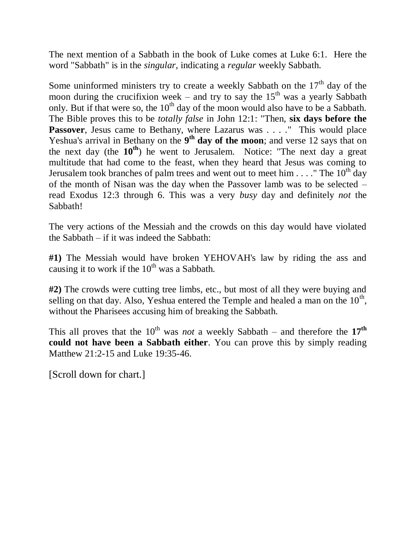The next mention of a Sabbath in the book of Luke comes at Luke 6:1. Here the word "Sabbath" is in the *singular*, indicating a *regular* weekly Sabbath.

Some uninformed ministers try to create a weekly Sabbath on the  $17<sup>th</sup>$  day of the moon during the crucifixion week – and try to say the  $15<sup>th</sup>$  was a yearly Sabbath only. But if that were so, the  $10<sup>th</sup>$  day of the moon would also have to be a Sabbath. The Bible proves this to be *totally false* in John 12:1: "Then, **six days before the**  Passover, Jesus came to Bethany, where Lazarus was . . . . " This would place Yeshua's arrival in Bethany on the 9<sup>th</sup> day of the moon; and verse 12 says that on the next day (the **10th**) he went to Jerusalem. Notice: "The next day a great multitude that had come to the feast, when they heard that Jesus was coming to Jerusalem took branches of palm trees and went out to meet him  $\dots$ . "The 10<sup>th</sup> day of the month of Nisan was the day when the Passover lamb was to be selected – read Exodus 12:3 through 6. This was a very *busy* day and definitely *not* the Sabbath!

The very actions of the Messiah and the crowds on this day would have violated the Sabbath – if it was indeed the Sabbath:

**#1)** The Messiah would have broken YEHOVAH's law by riding the ass and causing it to work if the  $10^{th}$  was a Sabbath.

**#2)** The crowds were cutting tree limbs, etc., but most of all they were buying and selling on that day. Also, Yeshua entered the Temple and healed a man on the  $10<sup>th</sup>$ , without the Pharisees accusing him of breaking the Sabbath.

This all proves that the  $10^{th}$  was *not* a weekly Sabbath – and therefore the  $17^{th}$ **could not have been a Sabbath either**. You can prove this by simply reading Matthew 21:2-15 and Luke 19:35-46.

[Scroll down for chart.]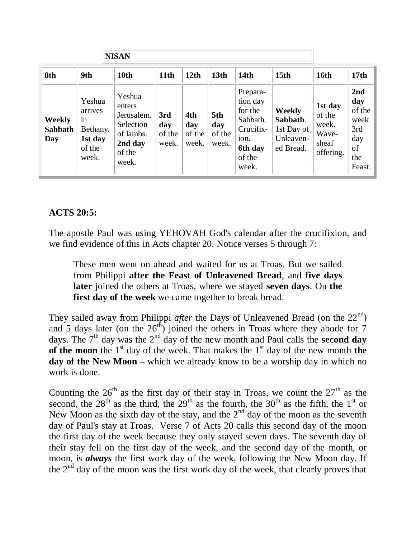|                                        |                                                                   | <b>NISAN</b>                                                                           |                               |                               |                               |                                                                                                |                                                                   |                                                           |                                                                    |
|----------------------------------------|-------------------------------------------------------------------|----------------------------------------------------------------------------------------|-------------------------------|-------------------------------|-------------------------------|------------------------------------------------------------------------------------------------|-------------------------------------------------------------------|-----------------------------------------------------------|--------------------------------------------------------------------|
| 8th                                    | 9th                                                               | 10th                                                                                   | 11th                          | 12 <sub>th</sub>              | 13th                          | 14 <sub>th</sub>                                                                               | 15 <sub>th</sub>                                                  | <b>16th</b>                                               | 17 <sub>th</sub>                                                   |
| <b>Weekly</b><br><b>Sabbath</b><br>Day | Yeshua<br>arrives<br>1n<br>Bethany.<br>1st day<br>of the<br>week. | Yeshua<br>enters<br>Jerusalem.<br>Selection<br>of lambs.<br>2nd day<br>of the<br>week. | 3rd<br>day<br>of the<br>week. | 4th<br>day<br>of the<br>week. | 5th<br>day<br>of the<br>week. | Prepara-<br>tion day<br>for the<br>Sabbath.<br>Crucifix-<br>ion.<br>6th day<br>of the<br>week. | <b>Weekly</b><br>Sabbath.<br>1st Day of<br>Unleaven-<br>ed Bread. | 1st day<br>of the<br>week.<br>Wave-<br>sheaf<br>offering. | 2nd<br>day<br>of the<br>week.<br>3rd<br>day<br>of<br>the<br>Feast. |

## **ACTS 20:5:**

The apostle Paul was using YEHOVAH God's calendar after the crucifixion, and we find evidence of this in Acts chapter 20. Notice verses 5 through 7:

These men went on ahead and waited for us at Troas. But we sailed from Philippi **after the Feast of Unleavened Bread**, and **five days later** joined the others at Troas, where we stayed **seven days**. On **the first day of the week** we came together to break bread.

They sailed away from Philippi *after* the Days of Unleavened Bread (on the 22<sup>nd</sup>) and 5 days later (on the  $26<sup>th</sup>$ ) joined the others in Troas where they abode for 7 days. The  $7<sup>th</sup>$  day was the  $2<sup>nd</sup>$  day of the new month and Paul calls the **second day of the moon** the  $1<sup>st</sup>$  day of the week. That makes the  $1<sup>st</sup>$  day of the new month **the day of the New Moon –** which we already know to be a worship day in which no work is done.

Counting the  $26<sup>th</sup>$  as the first day of their stay in Troas, we count the  $27<sup>th</sup>$  as the second, the  $28<sup>th</sup>$  as the third, the  $29<sup>th</sup>$  as the fourth, the  $30<sup>th</sup>$  as the fifth, the  $1<sup>st</sup>$  or New Moon as the sixth day of the stay, and the  $2<sup>nd</sup>$  day of the moon as the seventh day of Paul's stay at Troas. Verse 7 of Acts 20 calls this second day of the moon the first day of the week because they only stayed seven days. The seventh day of their stay fell on the first day of the week, and the second day of the month, or moon, is *always* the first work day of the week, following the New Moon day. If the  $2<sup>nd</sup>$  day of the moon was the first work day of the week, that clearly proves that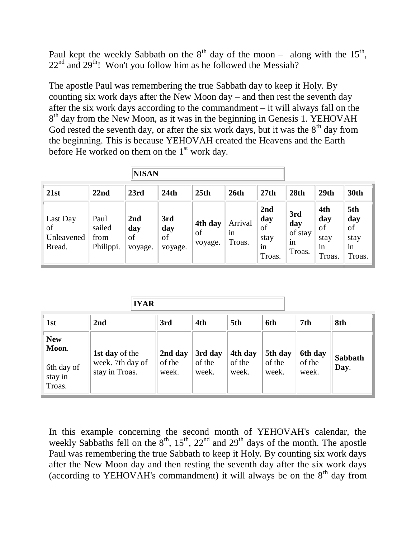Paul kept the weekly Sabbath on the  $8<sup>th</sup>$  day of the moon – along with the  $15<sup>th</sup>$ ,  $22<sup>nd</sup>$  and  $29<sup>th</sup>$ ! Won't you follow him as he followed the Messiah?

The apostle Paul was remembering the true Sabbath day to keep it Holy. By counting six work days after the New Moon day – and then rest the seventh day after the six work days according to the commandment – it will always fall on the 8<sup>th</sup> day from the New Moon, as it was in the beginning in Genesis 1. YEHOVAH God rested the seventh day, or after the six work days, but it was the  $8<sup>th</sup>$  day from the beginning. This is because YEHOVAH created the Heavens and the Earth before He worked on them on the  $1<sup>st</sup>$  work day.

| <b>NISAN</b>                           |                                     |                             |                             |                          |                         |                                          |                                       |                                          |                                          |
|----------------------------------------|-------------------------------------|-----------------------------|-----------------------------|--------------------------|-------------------------|------------------------------------------|---------------------------------------|------------------------------------------|------------------------------------------|
| 21st                                   | 22nd                                | 23rd                        | 24th                        | 25th                     | 26 <sub>th</sub>        | 27th                                     | 28th                                  | 29th                                     | <b>30th</b>                              |
| Last Day<br>of<br>Unleavened<br>Bread. | Paul<br>sailed<br>from<br>Philippi. | 2nd<br>day<br>of<br>voyage. | 3rd<br>day<br>οf<br>voyage. | 4th day<br>of<br>voyage. | Arrival<br>1n<br>Troas. | 2nd<br>day<br>of<br>stay<br>1n<br>Troas. | 3rd<br>day<br>of stay<br>1n<br>Troas. | 4th<br>day<br>of<br>stay<br>in<br>Troas. | 5th<br>day<br>of<br>stay<br>in<br>Troas. |

|                                                        | <b>IYAR</b>                                          |                            |                            |                            |                            |                            |                        |  |  |  |  |
|--------------------------------------------------------|------------------------------------------------------|----------------------------|----------------------------|----------------------------|----------------------------|----------------------------|------------------------|--|--|--|--|
| 1st                                                    | 2nd                                                  | 3rd                        | 4th                        | 5th                        | 6th                        | 7th                        | 8th                    |  |  |  |  |
| <b>New</b><br>Moon.<br>6th day of<br>stay in<br>Troas. | 1st day of the<br>week. 7th day of<br>stay in Troas. | 2nd day<br>of the<br>week. | 3rd day<br>of the<br>week. | 4th day<br>of the<br>week. | 5th day<br>of the<br>week. | 6th day<br>of the<br>week. | <b>Sabbath</b><br>Day. |  |  |  |  |

In this example concerning the second month of YEHOVAH's calendar, the weekly Sabbaths fell on the  $8<sup>th</sup>$ ,  $15<sup>th</sup>$ ,  $22<sup>nd</sup>$  and  $29<sup>th</sup>$  days of the month. The apostle Paul was remembering the true Sabbath to keep it Holy. By counting six work days after the New Moon day and then resting the seventh day after the six work days (according to YEHOVAH's commandment) it will always be on the  $8<sup>th</sup>$  day from